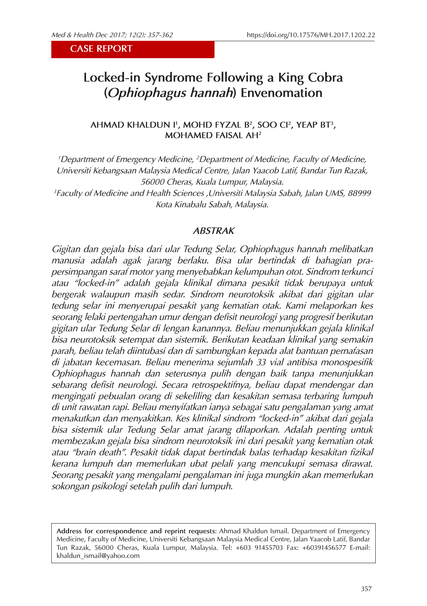**CASE REPORT**

# **Locked-in Syndrome Following a King Cobra (***Ophiophagus hannah***) Envenomation**

**AHMAD KHALDUN I1 , MOHD FYZAL B2, SOO CI2, YEAP BT3, MOHAMED FAISAL AH2**

<sup>1</sup> Department of Emergency Medicine, <sup>2</sup> Department of Medicine, Faculty of Medicine, *Universiti Kebangsaan Malaysia Medical Centre, Jalan Yaacob Latif, Bandar Tun Razak, 56000 Cheras, Kuala Lumpur, Malaysia. 3 Faculty of Medicine and Health Sciences ,Universiti Malaysia Sabah, Jalan UMS, 88999* 

*Kota Kinabalu Sabah, Malaysia.*

*ABSTRAK*

*Gigitan dan gejala bisa dari ular Tedung Selar, Ophiophagus hannah melibatkan manusia adalah agak jarang berlaku. Bisa ular bertindak di bahagian prapersimpangan saraf motor yang menyebabkan kelumpuhan otot. Sindrom terkunci atau "locked-in" adalah gejala klinikal dimana pesakit tidak berupaya untuk bergerak walaupun masih sedar. Sindrom neurotoksik akibat dari gigitan ular tedung selar ini menyerupai pesakit yang kematian otak. Kami melaporkan kes seorang lelaki pertengahan umur dengan defisit neurologi yang progresif berikutan gigitan ular Tedung Selar di lengan kanannya. Beliau menunjukkan gejala klinikal bisa neurotoksik setempat dan sistemik. Berikutan keadaan klinikal yang semakin parah, beliau telah diintubasi dan di sambungkan kepada alat bantuan pernafasan di jabatan kecemasan. Beliau menerima sejumlah 33 vial antibisa monospesifik Ophiophagus hannah dan seterusnya pulih dengan baik tanpa menunjukkan sebarang defisit neurologi. Secara retrospektifnya, beliau dapat mendengar dan mengingati pebualan orang di sekeliling dan kesakitan semasa terbaring lumpuh di unit rawatan rapi. Beliau menyifatkan ianya sebagai satu pengalaman yang amat menakutkan dan menyakitkan. Kes klinikal sindrom "locked-in" akibat dari gejala bisa sistemik ular Tedung Selar amat jarang dilaporkan. Adalah penting untuk membezakan gejala bisa sindrom neurotoksik ini dari pesakit yang kematian otak atau "brain death". Pesakit tidak dapat bertindak balas terhadap kesakitan fizikal kerana lumpuh dan memerlukan ubat pelali yang mencukupi semasa dirawat. Seorang pesakit yang mengalami pengalaman ini juga mungkin akan memerlukan sokongan psikologi setelah pulih dari lumpuh.*

**Address for correspondence and reprint requests**: Ahmad Khaldun Ismail. Department of Emergency Medicine, Faculty of Medicine, Universiti Kebangsaan Malaysia Medical Centre, Jalan Yaacob Latif, Bandar Tun Razak, 56000 Cheras, Kuala Lumpur, Malaysia. Tel: +603 91455703 Fax: +60391456577 E-mail: khaldun\_ismail@yahoo.com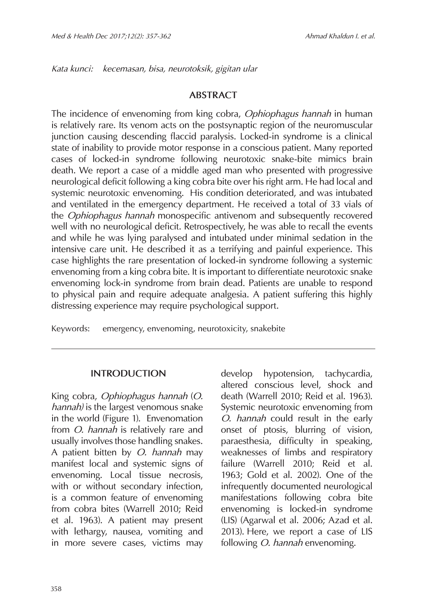*Kata kunci: kecemasan, bisa, neurotoksik, gigitan ular* 

# **ABSTRACT**

The incidence of envenoming from king cobra, *Ophiophagus hannah* in human is relatively rare. Its venom acts on the postsynaptic region of the neuromuscular junction causing descending flaccid paralysis. Locked-in syndrome is a clinical state of inability to provide motor response in a conscious patient. Many reported cases of locked-in syndrome following neurotoxic snake-bite mimics brain death. We report a case of a middle aged man who presented with progressive neurological deficit following a king cobra bite over his right arm. He had local and systemic neurotoxic envenoming. His condition deteriorated, and was intubated and ventilated in the emergency department. He received a total of 33 vials of the *Ophiophagus hannah* monospecific antivenom and subsequently recovered well with no neurological deficit. Retrospectively, he was able to recall the events and while he was lying paralysed and intubated under minimal sedation in the intensive care unit. He described it as a terrifying and painful experience. This case highlights the rare presentation of locked-in syndrome following a systemic envenoming from a king cobra bite. It is important to differentiate neurotoxic snake envenoming lock-in syndrome from brain dead. Patients are unable to respond to physical pain and require adequate analgesia. A patient suffering this highly distressing experience may require psychological support.

Keywords: emergency, envenoming, neurotoxicity, snakebite

### **INTRODUCTION**

King cobra, *Ophiophagus hannah* (*O. hannah)* is the largest venomous snake in the world (Figure 1). Envenomation from *O. hannah* is relatively rare and usually involves those handling snakes. A patient bitten by *O. hannah* may manifest local and systemic signs of envenoming. Local tissue necrosis, with or without secondary infection, is a common feature of envenoming from cobra bites (Warrell 2010; Reid et al. 1963). A patient may present with lethargy, nausea, vomiting and in more severe cases, victims may

develop hypotension, tachycardia, altered conscious level, shock and death (Warrell 2010; Reid et al. 1963). Systemic neurotoxic envenoming from *O. hannah* could result in the early onset of ptosis, blurring of vision, paraesthesia, difficulty in speaking, weaknesses of limbs and respiratory failure (Warrell 2010; Reid et al. 1963; Gold et al. 2002). One of the infrequently documented neurological manifestations following cobra bite envenoming is locked-in syndrome (LIS) (Agarwal et al. 2006; Azad et al. 2013). Here, we report a case of LIS following *O. hannah* envenoming.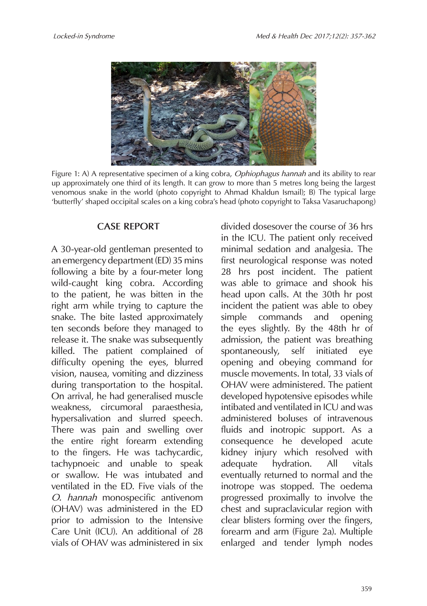

Figure 1: A) A representative specimen of a king cobra, *Ophiophagus hannah* and its ability to rear up approximately one third of its length. It can grow to more than 5 metres long being the largest venomous snake in the world (photo copyright to Ahmad Khaldun Ismail); B) The typical large 'butterfly' shaped occipital scales on a king cobra's head (photo copyright to Taksa Vasaruchapong)

# **CASE REPORT**

A 30-year-old gentleman presented to an emergency department (ED) 35 mins following a bite by a four-meter long wild-caught king cobra. According to the patient, he was bitten in the right arm while trying to capture the snake. The bite lasted approximately ten seconds before they managed to release it. The snake was subsequently killed. The patient complained of difficulty opening the eyes, blurred vision, nausea, vomiting and dizziness during transportation to the hospital. On arrival, he had generalised muscle weakness, circumoral paraesthesia, hypersalivation and slurred speech. There was pain and swelling over the entire right forearm extending to the fingers. He was tachycardic, tachypnoeic and unable to speak or swallow. He was intubated and ventilated in the ED. Five vials of the *O. hannah* monospecific antivenom (OHAV) was administered in the ED prior to admission to the Intensive Care Unit (ICU). An additional of 28 vials of OHAV was administered in six divided dosesover the course of 36 hrs in the ICU. The patient only received minimal sedation and analgesia. The first neurological response was noted 28 hrs post incident. The patient was able to grimace and shook his head upon calls. At the 30th hr post incident the patient was able to obey simple commands and opening the eyes slightly. By the 48th hr of admission, the patient was breathing spontaneously, self initiated eye opening and obeying command for muscle movements. In total, 33 vials of OHAV were administered. The patient developed hypotensive episodes while intibated and ventilated in ICU and was administered boluses of intravenous fluids and inotropic support. As a consequence he developed acute kidney injury which resolved with adequate hydration. All vitals eventually returned to normal and the inotrope was stopped. The oedema progressed proximally to involve the chest and supraclavicular region with clear blisters forming over the fingers, forearm and arm (Figure 2a). Multiple enlarged and tender lymph nodes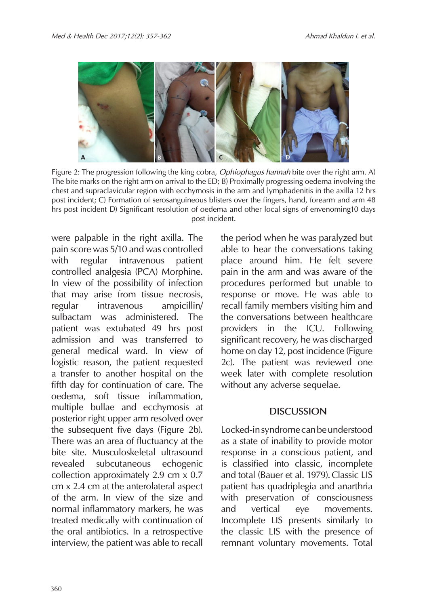

Figure 2: The progression following the king cobra, *Ophiophagus hannah* bite over the right arm. A) The bite marks on the right arm on arrival to the ED; B) Proximally progressing oedema involving the chest and supraclavicular region with ecchymosis in the arm and lymphadenitis in the axilla 12 hrs post incident; C) Formation of serosanguineous blisters over the fingers, hand, forearm and arm 48 hrs post incident D) Significant resolution of oedema and other local signs of envenoming10 days post incident.

were palpable in the right axilla. The pain score was 5/10 and was controlled with regular intravenous patient controlled analgesia (PCA) Morphine. In view of the possibility of infection that may arise from tissue necrosis, regular intravenous ampicillin/ sulbactam was administered. The patient was extubated 49 hrs post admission and was transferred to general medical ward. In view of logistic reason, the patient requested a transfer to another hospital on the fifth day for continuation of care. The oedema, soft tissue inflammation, multiple bullae and ecchymosis at posterior right upper arm resolved over the subsequent five days (Figure 2b). There was an area of fluctuancy at the bite site. Musculoskeletal ultrasound revealed subcutaneous echogenic collection approximately 2.9 cm x 0.7 cm x 2.4 cm at the anterolateral aspect of the arm. In view of the size and normal inflammatory markers, he was treated medically with continuation of the oral antibiotics. In a retrospective interview, the patient was able to recall the period when he was paralyzed but able to hear the conversations taking place around him. He felt severe pain in the arm and was aware of the procedures performed but unable to response or move. He was able to recall family members visiting him and the conversations between healthcare providers in the ICU. Following significant recovery, he was discharged home on day 12, post incidence (Figure 2c). The patient was reviewed one week later with complete resolution without any adverse sequelae.

### **DISCUSSION**

Locked-in syndrome can be understood as a state of inability to provide motor response in a conscious patient, and is classified into classic, incomplete and total (Bauer et al. 1979). Classic LIS patient has quadriplegia and anarthria with preservation of consciousness and vertical eye movements. Incomplete LIS presents similarly to the classic LIS with the presence of remnant voluntary movements. Total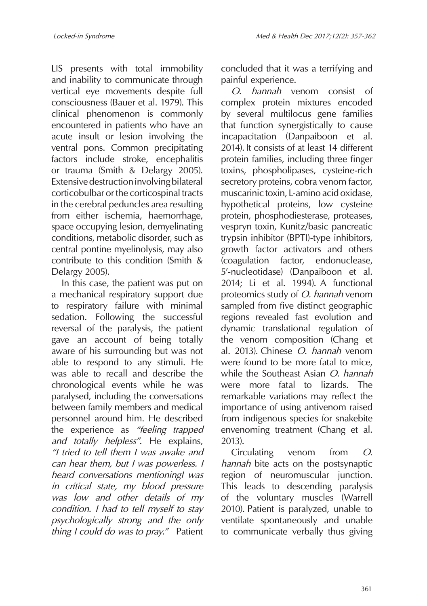LIS presents with total immobility and inability to communicate through vertical eye movements despite full consciousness (Bauer et al. 1979). This clinical phenomenon is commonly encountered in patients who have an acute insult or lesion involving the ventral pons. Common precipitating factors include stroke, encephalitis or trauma (Smith & Delargy 2005). Extensive destruction involving bilateral corticobulbar or the corticospinal tracts in the cerebral peduncles area resulting from either ischemia, haemorrhage, space occupying lesion, demyelinating conditions, metabolic disorder, such as central pontine myelinolysis, may also contribute to this condition (Smith & Delargy 2005).

In this case, the patient was put on a mechanical respiratory support due to respiratory failure with minimal sedation. Following the successful reversal of the paralysis, the patient gave an account of being totally aware of his surrounding but was not able to respond to any stimuli. He was able to recall and describe the chronological events while he was paralysed, including the conversations between family members and medical personnel around him. He described the experience as *"feeling trapped and totally helpless"*. He explains, *"I tried to tell them I was awake and can hear them, but I was powerless. I heard conversations mentioningI was in critical state, my blood pressure was low and other details of my condition. I had to tell myself to stay psychologically strong and the only thing I could do was to pray."* Patient

concluded that it was a terrifying and painful experience.

*O. hannah* venom consist of complex protein mixtures encoded by several multilocus gene families that function synergistically to cause incapacitation (Danpaiboon et al. 2014). It consists of at least 14 different protein families, including three finger toxins, phospholipases, cysteine-rich secretory proteins, cobra venom factor, muscarinic toxin, L-amino acid oxidase, hypothetical proteins, low cysteine protein, phosphodiesterase, proteases, vespryn toxin, Kunitz/basic pancreatic trypsin inhibitor (BPTI)-type inhibitors, growth factor activators and others (coagulation factor, endonuclease, 5'-nucleotidase) (Danpaiboon et al. 2014; Li et al. 1994). A functional proteomics study of *O. hannah* venom sampled from five distinct geographic regions revealed fast evolution and dynamic translational regulation of the venom composition (Chang et al. 2013). Chinese *O. hannah* venom were found to be more fatal to mice, while the Southeast Asian *O. hannah* were more fatal to lizards. The remarkable variations may reflect the importance of using antivenom raised from indigenous species for snakebite envenoming treatment (Chang et al. 2013).

Circulating venom from *O. hannah* bite acts on the postsynaptic region of neuromuscular junction. This leads to descending paralysis of the voluntary muscles (Warrell 2010). Patient is paralyzed, unable to ventilate spontaneously and unable to communicate verbally thus giving